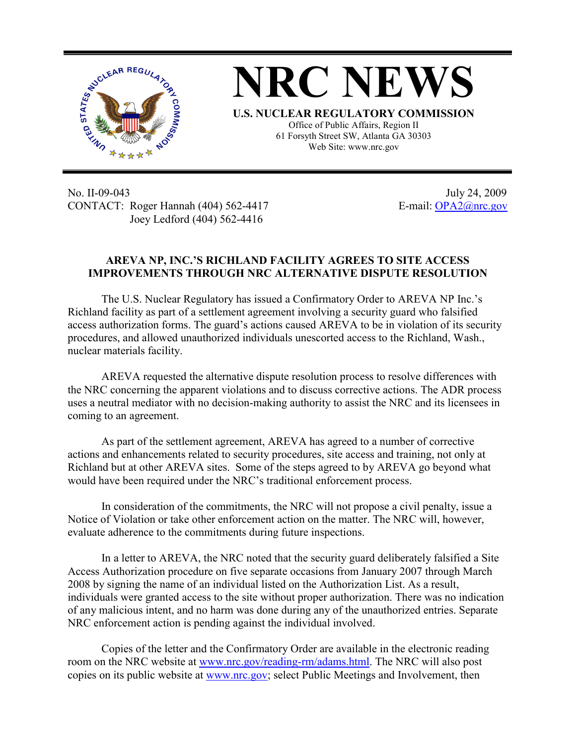



61 Forsyth Street SW, Atlanta GA 30303 Web Site: www.nrc.gov

No. II-09-043 July 24, 2009 CONTACT: Roger Hannah (404) 562-4417 E-mail: OPA2@nrc.gov Joey Ledford (404) 562-4416

## **AREVA NP, INC.'S RICHLAND FACILITY AGREES TO SITE ACCESS IMPROVEMENTS THROUGH NRC ALTERNATIVE DISPUTE RESOLUTION**

The U.S. Nuclear Regulatory has issued a Confirmatory Order to AREVA NP Inc.'s Richland facility as part of a settlement agreement involving a security guard who falsified access authorization forms. The guard's actions caused AREVA to be in violation of its security procedures, and allowed unauthorized individuals unescorted access to the Richland, Wash., nuclear materials facility.

AREVA requested the alternative dispute resolution process to resolve differences with the NRC concerning the apparent violations and to discuss corrective actions. The ADR process uses a neutral mediator with no decision-making authority to assist the NRC and its licensees in coming to an agreement.

As part of the settlement agreement, AREVA has agreed to a number of corrective actions and enhancements related to security procedures, site access and training, not only at Richland but at other AREVA sites. Some of the steps agreed to by AREVA go beyond what would have been required under the NRC's traditional enforcement process.

In consideration of the commitments, the NRC will not propose a civil penalty, issue a Notice of Violation or take other enforcement action on the matter. The NRC will, however, evaluate adherence to the commitments during future inspections.

In a letter to AREVA, the NRC noted that the security guard deliberately falsified a Site Access Authorization procedure on five separate occasions from January 2007 through March 2008 by signing the name of an individual listed on the Authorization List. As a result, individuals were granted access to the site without proper authorization. There was no indication of any malicious intent, and no harm was done during any of the unauthorized entries. Separate NRC enforcement action is pending against the individual involved.

Copies of the letter and the Confirmatory Order are available in the electronic reading room on the NRC website at www.nrc.gov/reading-rm/adams.html. The NRC will also post copies on its public website at www.nrc.gov; select Public Meetings and Involvement, then